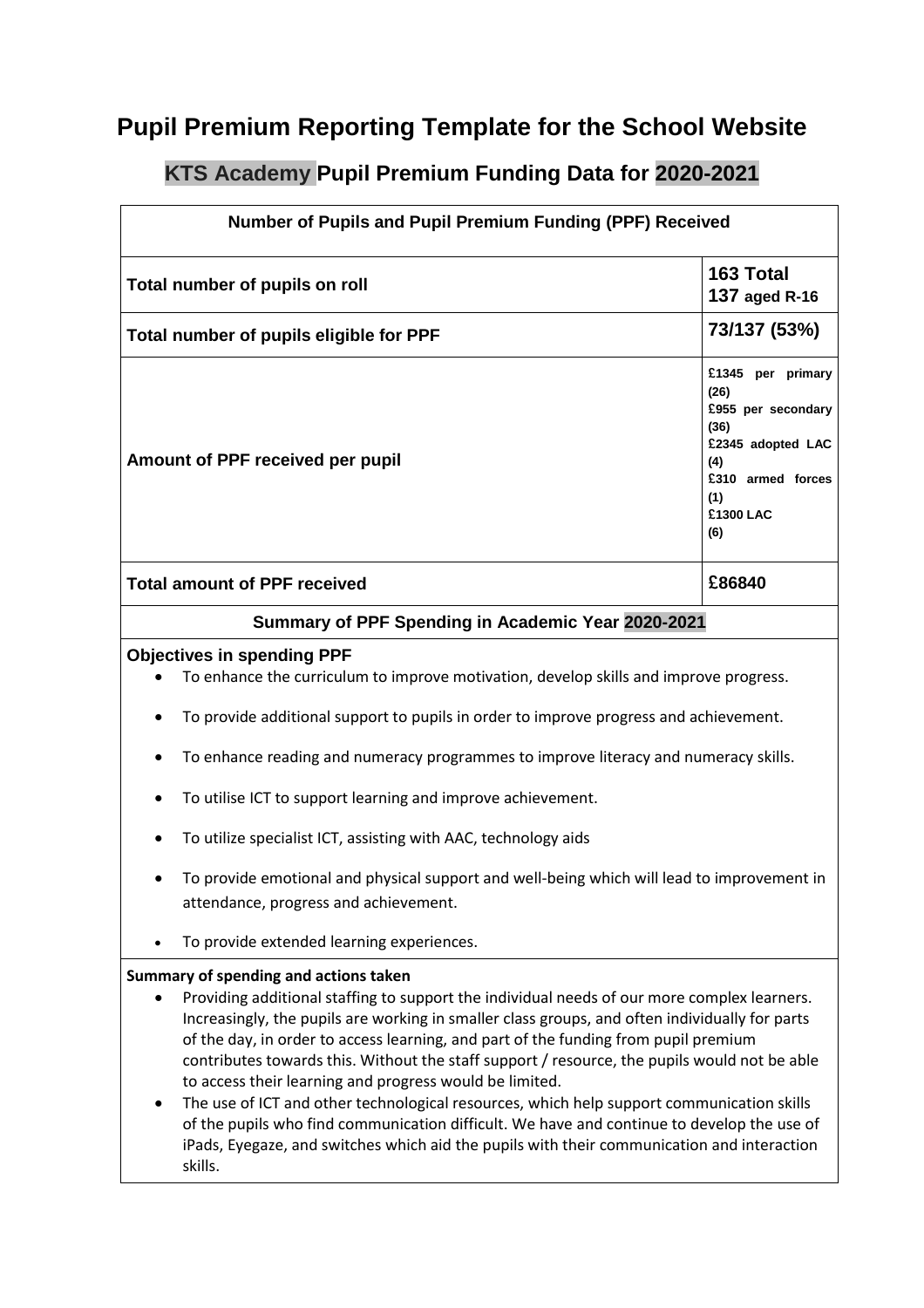## **Pupil Premium Reporting Template for the School Website**

## **KTS Academy Pupil Premium Funding Data for 2020-2021**

| Number of Pupils and Pupil Premium Funding (PPF) Received                                                                                                                                                                                                                                                                                                                                                                                                                                                                                                                          |                                                                                                                                                                                                                                                                                                                                                                                                                                                                                                                                                                                                                                                                                                                                                                                              |                                                                                                                                     |  |
|------------------------------------------------------------------------------------------------------------------------------------------------------------------------------------------------------------------------------------------------------------------------------------------------------------------------------------------------------------------------------------------------------------------------------------------------------------------------------------------------------------------------------------------------------------------------------------|----------------------------------------------------------------------------------------------------------------------------------------------------------------------------------------------------------------------------------------------------------------------------------------------------------------------------------------------------------------------------------------------------------------------------------------------------------------------------------------------------------------------------------------------------------------------------------------------------------------------------------------------------------------------------------------------------------------------------------------------------------------------------------------------|-------------------------------------------------------------------------------------------------------------------------------------|--|
| Total number of pupils on roll                                                                                                                                                                                                                                                                                                                                                                                                                                                                                                                                                     |                                                                                                                                                                                                                                                                                                                                                                                                                                                                                                                                                                                                                                                                                                                                                                                              | 163 Total<br><b>137 aged R-16</b>                                                                                                   |  |
| Total number of pupils eligible for PPF                                                                                                                                                                                                                                                                                                                                                                                                                                                                                                                                            |                                                                                                                                                                                                                                                                                                                                                                                                                                                                                                                                                                                                                                                                                                                                                                                              | 73/137 (53%)                                                                                                                        |  |
|                                                                                                                                                                                                                                                                                                                                                                                                                                                                                                                                                                                    | Amount of PPF received per pupil                                                                                                                                                                                                                                                                                                                                                                                                                                                                                                                                                                                                                                                                                                                                                             | £1345 per primary<br>(26)<br>£955 per secondary<br>(36)<br>£2345 adopted LAC<br>(4)<br>£310 armed forces<br>(1)<br>£1300 LAC<br>(6) |  |
|                                                                                                                                                                                                                                                                                                                                                                                                                                                                                                                                                                                    | <b>Total amount of PPF received</b>                                                                                                                                                                                                                                                                                                                                                                                                                                                                                                                                                                                                                                                                                                                                                          | £86840                                                                                                                              |  |
| Summary of PPF Spending in Academic Year 2020-2021                                                                                                                                                                                                                                                                                                                                                                                                                                                                                                                                 |                                                                                                                                                                                                                                                                                                                                                                                                                                                                                                                                                                                                                                                                                                                                                                                              |                                                                                                                                     |  |
| <b>Objectives in spending PPF</b><br>To enhance the curriculum to improve motivation, develop skills and improve progress.<br>To provide additional support to pupils in order to improve progress and achievement.<br>To enhance reading and numeracy programmes to improve literacy and numeracy skills.<br>To utilise ICT to support learning and improve achievement.<br>To utilize specialist ICT, assisting with AAC, technology aids<br>To provide emotional and physical support and well-being which will lead to improvement in<br>attendance, progress and achievement. |                                                                                                                                                                                                                                                                                                                                                                                                                                                                                                                                                                                                                                                                                                                                                                                              |                                                                                                                                     |  |
|                                                                                                                                                                                                                                                                                                                                                                                                                                                                                                                                                                                    | To provide extended learning experiences.                                                                                                                                                                                                                                                                                                                                                                                                                                                                                                                                                                                                                                                                                                                                                    |                                                                                                                                     |  |
|                                                                                                                                                                                                                                                                                                                                                                                                                                                                                                                                                                                    | Summary of spending and actions taken<br>Providing additional staffing to support the individual needs of our more complex learners.<br>Increasingly, the pupils are working in smaller class groups, and often individually for parts<br>of the day, in order to access learning, and part of the funding from pupil premium<br>contributes towards this. Without the staff support / resource, the pupils would not be able<br>to access their learning and progress would be limited.<br>The use of ICT and other technological resources, which help support communication skills<br>of the pupils who find communication difficult. We have and continue to develop the use of<br>iPads, Eyegaze, and switches which aid the pupils with their communication and interaction<br>skills. |                                                                                                                                     |  |